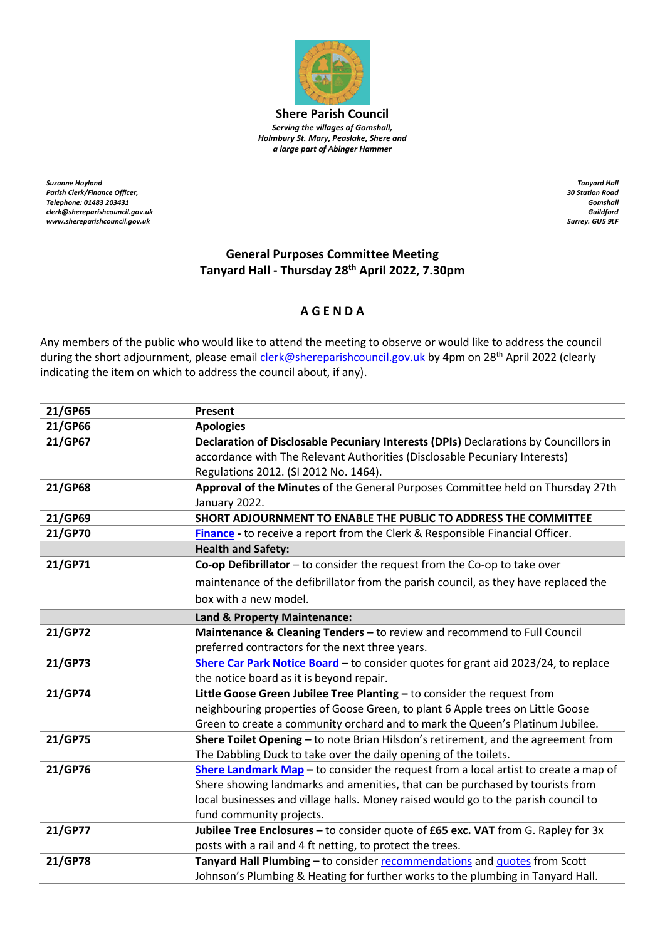

**Shere Parish Council** *Serving the villages of Gomshall, Holmbury St. Mary, Peaslake, Shere and a large part of Abinger Hammer*

*Suzanne Hoyland Parish Clerk/Finance Officer, Telephone: 01483 203431 clerk@shereparishcouncil.gov.uk www.shereparishcouncil.gov.uk*

*Tanyard Hall 30 Station Road Gomshall Guildford Surrey. GU5 9LF*

## **General Purposes Committee Meeting Tanyard Hall - Thursday 28 th April 2022, 7.30pm**

## **A G E N D A**

Any members of the public who would like to attend the meeting to observe or would like to address the council during the short adjournment, please email *clerk@shereparishcouncil.gov.uk* by 4pm on 28<sup>th</sup> April 2022 (clearly indicating the item on which to address the council about, if any).

| 21/GP65 | Present                                                                              |
|---------|--------------------------------------------------------------------------------------|
| 21/GP66 | <b>Apologies</b>                                                                     |
| 21/GP67 | Declaration of Disclosable Pecuniary Interests (DPIs) Declarations by Councillors in |
|         | accordance with The Relevant Authorities (Disclosable Pecuniary Interests)           |
|         | Regulations 2012. (SI 2012 No. 1464).                                                |
| 21/GP68 | Approval of the Minutes of the General Purposes Committee held on Thursday 27th      |
|         | January 2022.                                                                        |
| 21/GP69 | SHORT ADJOURNMENT TO ENABLE THE PUBLIC TO ADDRESS THE COMMITTEE                      |
| 21/GP70 | Finance - to receive a report from the Clerk & Responsible Financial Officer.        |
|         | <b>Health and Safety:</b>                                                            |
| 21/GP71 | Co-op Defibrillator - to consider the request from the Co-op to take over            |
|         | maintenance of the defibrillator from the parish council, as they have replaced the  |
|         | box with a new model.                                                                |
|         | Land & Property Maintenance:                                                         |
| 21/GP72 | Maintenance & Cleaning Tenders - to review and recommend to Full Council             |
|         | preferred contractors for the next three years.                                      |
| 21/GP73 | Shere Car Park Notice Board - to consider quotes for grant aid 2023/24, to replace   |
|         | the notice board as it is beyond repair.                                             |
| 21/GP74 | Little Goose Green Jubilee Tree Planting - to consider the request from              |
|         | neighbouring properties of Goose Green, to plant 6 Apple trees on Little Goose       |
|         | Green to create a community orchard and to mark the Queen's Platinum Jubilee.        |
| 21/GP75 | Shere Toilet Opening - to note Brian Hilsdon's retirement, and the agreement from    |
|         | The Dabbling Duck to take over the daily opening of the toilets.                     |
| 21/GP76 | Shere Landmark Map - to consider the request from a local artist to create a map of  |
|         | Shere showing landmarks and amenities, that can be purchased by tourists from        |
|         | local businesses and village halls. Money raised would go to the parish council to   |
|         | fund community projects.                                                             |
| 21/GP77 | Jubilee Tree Enclosures - to consider quote of £65 exc. VAT from G. Rapley for 3x    |
|         | posts with a rail and 4 ft netting, to protect the trees.                            |
| 21/GP78 | Tanyard Hall Plumbing - to consider recommendations and quotes from Scott            |
|         | Johnson's Plumbing & Heating for further works to the plumbing in Tanyard Hall.      |